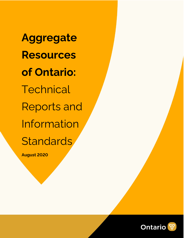**Aggregate Resources of Ontario: Technical** Reports and Information **Standards** 

**August 2020**

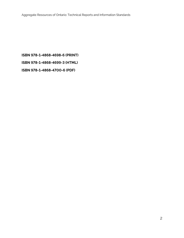# **ISBN 978-1-4868-4698-6 (PRINT)**

**ISBN 978-1-4868-4699-3 (HTML)**

**ISBN 978-1-4868-4700-6 (PDF)**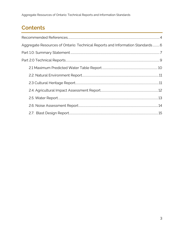Aggregate Resources of Ontario: Technical Reports and Information Standards

## **Contents**

| Aggregate Resources of Ontario: Technical Reports and Information Standards6 |  |
|------------------------------------------------------------------------------|--|
|                                                                              |  |
|                                                                              |  |
|                                                                              |  |
|                                                                              |  |
|                                                                              |  |
|                                                                              |  |
|                                                                              |  |
|                                                                              |  |
|                                                                              |  |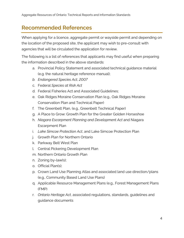## <span id="page-3-0"></span>**Recommended References**

When applying for a licence, aggregate permit or wayside permit and depending on the location of the proposed site, the applicant may wish to pre-consult with agencies that will be circulated the application for review.

The following is a list of references that applicants may find useful when preparing the information described in the above standards:

- a. Provincial Policy Statement and associated technical guidance material (e.g. the natural heritage reference manual);
- *b. Endangered Species Act, 2007*
- c. Federal *Species at Risk Act*
- d. Federal Fisheries Act and Associated Guidelines;
- e. Oak Ridges Moraine Conservation Plan (e.g., Oak Ridges Moraine Conservation Plan and Technical Paper)
- f. The Greenbelt Plan, (e.g., Greenbelt Technical Paper)
- g. A Place to Grow: Growth Plan for the Greater Golden Horseshoe
- h. *Niagara Escarpment Planning and Development Act* and Niagara Escarpment Plan
- i. *Lake Simcoe Protection Act*, and Lake Simcoe Protection Plan
- j. Growth Plan for Northern Ontario
- k. Parkway Belt West Plan
- l. Central Pickering Development Plan
- m. Northern Ontario Growth Plan
- n. Zoning by-law(s);
- o. Official Plan(s);
- p. Crown Land Use Planning Atlas and associated land use direction/plans (e.g., Community Based Land Use Plans)
- q. Applicable Resource Management Plans (e.g., Forest Management Plans (FMP)
- r. *Ontario Heritage Act*, associated regulations, standards, guidelines and guidance documents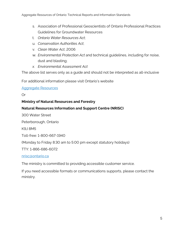- s. Association of Professional Geoscientists of Ontario Professional Practices Guidelines for Groundwater Resources
- t. *Ontario Water Resources Act*;
- u. *Conservation Authorities Act*;
- v. *Clean Water Act*, 2006
- w. *Environmental Protection Act* and technical guidelines, including for noise, dust and blasting;
- *x. Environmental Assessment Act*

The above list serves only as a guide and should not be interpreted as all-inclusive

For additional information please visit Ontario's website

#### [Aggregate Resources](https://www.ontario.ca/page/aggregate-resources)

#### Or

#### **Ministry of Natural Resources and Forestry**

#### **Natural Resources Information and Support Centre (NRISC)**

300 Water Street

Peterborough, Ontario

K9J 8M5

Toll-free: 1-800-667-1940

(Monday to Friday 8:30 am to 5:00 pm except statutory holidays)

TTY: 1-866-686-6072

[nrisc@ontario.ca](mailto:nrisc@ontario.ca)

The ministry is committed to providing accessible customer service.

If you need accessible formats or communications supports, please contact the ministry.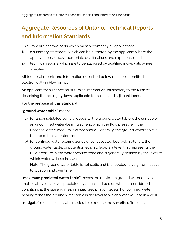# <span id="page-5-0"></span>**Aggregate Resources of Ontario: Technical Reports and Information Standards**

This Standard has two parts which must accompany all applications:

- 1) a summary statement, which can be authored by the applicant where the applicant possesses appropriate qualifications and experience, and
- 2) technical reports, which are to be authored by qualified individuals where specified.

All technical reports and information described below must be submitted electronically in PDF format.

An applicant for a licence must furnish information satisfactory to the Minister describing the zoning by-laws applicable to the site and adjacent lands.

#### **For the purpose of this Standard:**

#### **"ground water table"** means

- a) for unconsolidated surficial deposits, the ground water table is the surface of an unconfined water-bearing zone at which the fluid pressure in the unconsolidated medium is atmospheric. Generally, the ground water table is the top of the saturated zone.
- b) for confined water bearing zones or consolidated bedrock materials, the ground water table, or potentiometric surface, is a level that represents the fluid pressure in the water bearing zone and is generally defined by the level to which water will rise in a well.

Note: The ground water table is not static and is expected to vary from location to location and over time.

**"maximum predicted water table"** means the maximum ground water elevation (metres above sea level) predicted by a qualified person who has considered conditions at the site and mean annual precipitation levels. For confined water bearing zones the ground water table is the level to which water will rise in a well.

**"mitigate"** means to alleviate, moderate or reduce the severity of impacts.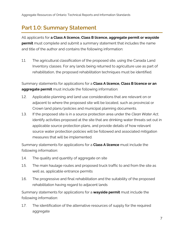## <span id="page-6-0"></span>**Part 1.0: Summary Statement**

All applicants for **a Class A licence, Class B licence, aggregate permit or wayside permit** must complete and submit a summary statement that includes the name and title of the author and contains the following information:

1.1. The agricultural classification of the proposed site, using the Canada Land Inventory classes. For any lands being returned to agriculture use as part of rehabilitation, the proposed rehabilitation techniques must be identified.

Summary statements for applications for a **Class A licence, Class B licence or an aggregate permit** must include the following information:

- 1.2. Applicable planning and land use considerations that are relevant on or adjacent to where the proposed site will be located, such as provincial or Crown land plans/policies and municipal planning documents.
- 1.3. If the proposed site is in a source protection area under the *Clean Water Act*, identify activities proposed at the site that are drinking water threats set out in applicable source protection plans, and provide details of how relevant source water protection policies will be followed and associated mitigation measures that will be implemented.

Summary statements for applications for a **Class A licence** must include the following information:

- 1.4. The quality and quantity of aggregate on site
- 1.5. The main haulage routes and proposed truck traffic to and from the site as well as, applicable entrance permits
- 1.6. The progressive and final rehabilitation and the suitability of the proposed rehabilitation having regard to adjacent lands

Summary statements for applications for a **wayside permit** must include the following information:

1.7. The identification of the alternative resources of supply for the required aggregate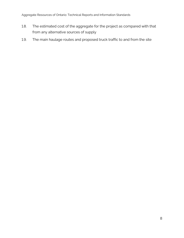Aggregate Resources of Ontario: Technical Reports and Information Standards

- 1.8. The estimated cost of the aggregate for the project as compared with that from any alternative sources of supply
- 1.9. The main haulage routes and proposed truck traffic to and from the site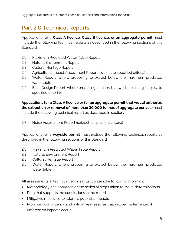## <span id="page-8-0"></span>**Part 2.0 Technical Reports**

Applications for a **Class A licence, Class B licence, or an aggregate permit** must include the following technical reports as described in the following sections of this Standard:

- 2.1 Maximum Predicted Water Table Report
- 2.2 Natural Environment Report
- 2.3 Cultural Heritage Report
- 2.4 Agricultural Impact Assessment Report (subject to specified criteria)
- 2.5 Water Report, where proposing to extract below the maximum predicted water table
- 2.6 Blast Design Report, where proposing a quarry that will be blasting (subject to specified criteria)

#### **Applications for a Class A licence or for an aggregate permit that would authorize the extraction or removal of more than 20,000 tonnes of aggregate per year** must

include the following technical report as described in section:

2.7 Noise Assessment Report (subject to specified criteria)

Applications for a **wayside permit** must include the following technical reports as described in the following sections of this Standard:

- 2.1 Maximum Predicted Water Table Report
- 2.2 Natural Environment Report
- 2.3 Cultural Heritage Report
- 2.5 Water Report, where proposing to extract below the maximum predicted water table

All assessments in technical reports must contain the following information:

- Methodology, the approach or the series of steps taken to make determinations
- Data that supports the conclusions in the report
- Mitigative measures to address potential impacts
- Proposed contingency and mitigative measures that will be implemented if unforeseen impacts occur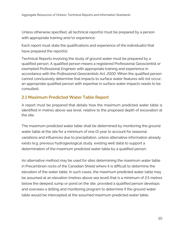Unless otherwise specified, all technical report(s) must be prepared by a person with appropriate training and/or experience.

Each report must state the qualifications and experience of the individual(s) that have prepared the report(s).

Technical Reports involving the study of ground water must be prepared by a qualified person. A qualified person means a registered Professional Geoscientist or exempted Professional Engineer with appropriate training and experience in accordance with the *Professional Geoscientists Act, 2000*. When the qualified person cannot conclusively determine that impacts to surface water features will not occur, an appropriate qualified person with expertise in surface water impacts needs to be consulted.

### <span id="page-9-0"></span>**2.1 Maximum Predicted Water Table Report**

A report must be prepared that details how the maximum predicted water table is identified in metres above sea level, relative to the proposed depth of excavation at the site.

The maximum predicted water table shall be determined by monitoring the ground water table at the site for a minimum of one (1) year to account for seasonal variations and influences due to precipitation, unless alternative information already exists (e.g. previous hydrogeological study, existing well data) to support a determination of the maximum predicted water table by a qualified person.

An alternative method may be used for sites determining the maximum water table in Precambrian rocks of the Canadian Shield where it is difficult to determine the elevation of the water table. In such cases, the maximum predicted water table may be assumed at an elevation (metres above sea level) that is a minimum of 2.5 metres below the deepest sump or pond on the site, provided a qualified person develops and oversees a drilling and monitoring program to determine if the ground water table would be intercepted at the assumed maximum predicted water table.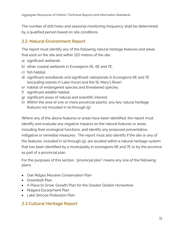The number of drill holes and seasonal monitoring frequency shall be determined by a qualified person based on site conditions.

### <span id="page-10-0"></span>**2.2. Natural Environment Report**

The report must identify any of the following natural heritage features and areas that exist on the site and within 120 metres of the site:

- a) significant wetlands
- b) other coastal wetlands in Ecoregions 5E, 6E and 7E,
- c) fish habitat,
- d) significant woodlands and significant valleylands in Ecoregions 6E and 7E (excluding islands in Lake Huron and the St. Mary's River)
- e) habitat of endangered species and threatened species,
- f) significant wildlife habitat,
- g) significant areas of natural and scientific interest,
- h) Within the area of one or more provincial plan(s), any key natural heritage features not included in (a) through (g)

Where any of the above features or areas have been identified, the report must identify and evaluate any negative impacts on the natural features or areas, including their ecological functions, and identify any proposed preventative, mitigative or remedial measures. The report must also identify if the site or any of the features, included in (a) through (g), are located within a natural heritage system that has been identified by a municipality in ecoregions 6E and 7E or by the province as part of a provincial plan.

For the purposes of this section, "provincial plan" means any one of the following plans:

- Oak Ridges Moraine Conservation Plan
- Greenbelt Plan
- A Place to Grow: Growth Plan for the Greater Golden Horseshoe
- Niagara Escarpment Plan
- Lake Simcoe Protection Plan

### <span id="page-10-1"></span>**2.3 Cultural Heritage Report**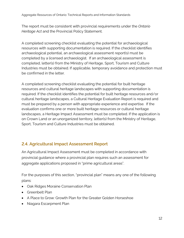The report must be consistent with provincial requirements under the *Ontario Heritage Act* and the Provincial Policy Statement.

A completed screening checklist evaluating the potential for archaeological resources with supporting documentation is required. If the checklist identifies archaeological potential, an archaeological assessment report(s) must be completed by a licensed archaeologist. If an archaeological assessment is completed, letter(s) from the Ministry of Heritage, Sport, Tourism and Culture Industries must be obtained. If applicable, temporary avoidance and protection must be confirmed in the letter.

A completed screening checklist evaluating the potential for built heritage resources and cultural heritage landscapes with supporting documentation is required. If the checklist identifies the potential for built heritage resources and/or cultural heritage landscapes, a Cultural Heritage Evaluation Report is required and must be prepared by a person with appropriate experience and expertise. If the evaluation confirms one or more built heritage resources or cultural heritage landscapes, a Heritage Impact Assessment must be completed. If the application is on Crown Land or an unorganized territory, letter(s) from the Ministry of Heritage, Sport, Tourism and Culture Industries must be obtained.

## <span id="page-11-0"></span>**2.4. Agricultural Impact Assessment Report**

An Agricultural Impact Assessment must be completed in accordance with provincial guidance where a provincial plan requires such an assessment for aggregate applications proposed in "prime agricultural areas".

For the purposes of this section, "provincial plan" means any one of the following plans:

- Oak Ridges Moraine Conservation Plan
- Greenbelt Plan
- A Place to Grow: Growth Plan for the Greater Golden Horseshoe
- Niagara Escarpment Plan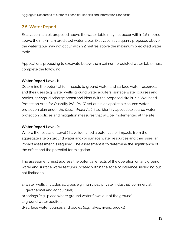### <span id="page-12-0"></span>**2.5. Water Report**

Excavation at a pit proposed above the water table may not occur within 1.5 metres above the maximum predicted water table. Excavation at a quarry proposed above the water table may not occur within 2 metres above the maximum predicted water table.

Applications proposing to excavate below the maximum predicted water table must complete the following:

#### **Water Report Level 1:**

Determine the potential for impacts to ground water and surface water resources and their uses (e.g. water wells, ground water aquifers, surface water courses and bodies, springs, discharge areas) and identify if the proposed site is in a Wellhead Protection Area for Quantity (WHPA-Q) set out in an applicable source water protection plan under the *Clean Water Act*. If so, identify applicable source water protection policies and mitigation measures that will be implemented at the site.

#### **Water Report Level 2:**

Where the results of Level 1 have identified a potential for impacts from the aggregate site on ground water and/or surface water resources and their uses, an impact assessment is required. The assessment is to determine the significance of the effect and the potential for mitigation.

The assessment must address the potential effects of the operation on any ground water and surface water features located within the zone of influence, including but not limited to:

- a) water wells (includes all types e.g. municipal, private, industrial, commercial, geothermal and agricultural)
- b) springs (e.g., place where ground water flows out of the ground)
- c) ground water aquifers;
- d) surface water courses and bodies (e.g., lakes, rivers, brooks)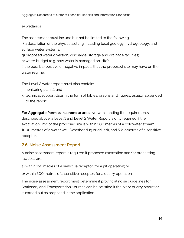#### e) wetlands

The assessment must include but not be limited to the following:

f) a description of the physical setting including local geology, hydrogeology, and surface water systems;

g) proposed water diversion, discharge, storage and drainage facilities;

h) water budget (e.g. how water is managed on-site);

i) the possible positive or negative impacts that the proposed site may have on the water regime;

The Level 2 water report must also contain:

- j) monitoring plan(s); and
- k) technical support data in the form of tables, graphs and figures, usually appended to the report.

**For Aggregate Permits in a remote area:** Notwithstanding the requirements described above, a Level 1 and Level 2 Water Report is only required if the excavation limit of the proposed site is within 500 metres of a coldwater stream, 1000 metres of a water well (whether dug or drilled), and 5 kilometres of a sensitive receptor.

## <span id="page-13-0"></span>**2.6. Noise Assessment Report**

A noise assessment report is required if proposed excavation and/or processing facilities are:

a) within 150 metres of a sensitive receptor, for a pit operation; or

b) within 500 metres of a sensitive receptor, for a quarry operation.

The noise assessment report must determine if provincial noise guidelines for Stationary and Transportation Sources can be satisfied if the pit or quarry operation is carried out as proposed in the application.